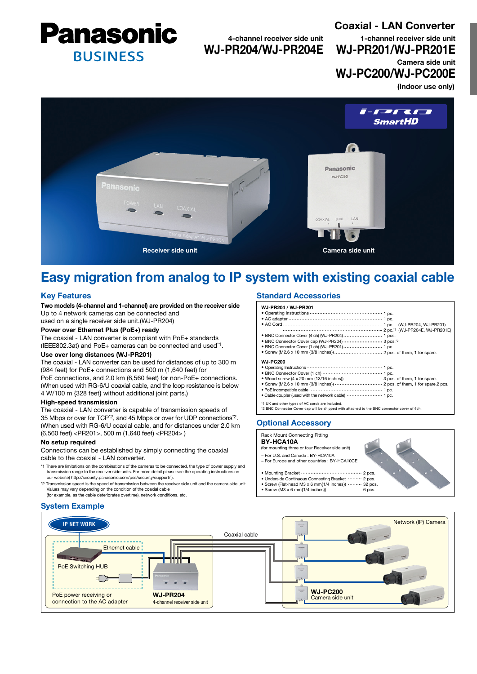

4-channel receiver side unit WJ-PR204/WJ-PR204E Coaxial - LAN Converter (Indoor use only) 1-channel receiver side unit WJ-PR201/WJ-PR201E Camera side unit WJ-PC200/WJ-PC200E



# Easy migration from analog to IP system with existing coaxial cable

# Key Features

Two models (4-channel and 1-channel) are provided on the receiver side Up to 4 network cameras can be connected and

used on a single receiver side unit.(WJ-PR204)

# Power over Ethernet Plus (PoE+) ready

The coaxial - LAN converter is compliant with PoE+ standards (IEEE802.3at) and PoE+ cameras can be connected and used\*1.

# Use over long distances (WJ-PR201)

The coaxial - LAN converter can be used for distances of up to 300 m (984 feet) for PoE+ connections and 500 m (1,640 feet) for PoE connections, and 2.0 km (6,560 feet) for non-PoE+ connections. (When used with RG-6/U coaxial cable, and the loop resistance is below 4 W/100 m {328 feet} without additional joint parts.)

#### High-speed transmission

The coaxial - LAN converter is capable of transmission speeds of 35 Mbps or over for TCP\*2, and 45 Mbps or over for UDP connections\*2. (When used with RG-6/U coaxial cable, and for distances under 2.0 km (6,560 feet) <PR201>, 500 m (1,640 feet) <PR204> )

#### No setup required

Connections can be established by simply connecting the coaxial cable to the coaxial - LAN converter.

- \*1 There are limitations on the combinations of the cameras to be connected, the type of power supply and transmission range to the receiver side units. For more detail please see the operating instructions on our website( http://security.panasonic.com/pss/security/support/ ).
- \*2 Transmission speed is the speed of transmission between the receiver side unit and the camera side unit. Values may vary depending on the condition of the coaxial cable (for example, as the cable deteriorates overtime), network conditions, etc.

# System Example

## Standard Accessories

WJ-PR204 / WJ-PR201 • Operating Instructions ....  $\cdots$  1 pc. • AC adapter 1 pc. • AC Cord (WJ-PR204, WJ-PR201) 2 pc.\*1 (WJ-PR204E, WJ-PR201E) • BNC Connector Cover (4 ch) (WJ-PR204) 1 pcs. • BNC Connector Cover cap (WJ-PR204) ......................... 3 pcs.<sup>\*2</sup> • BNC Connector Cover (1 ch) (WJ-PR201) 1 pc. • Screw (M2.6 x 10 mm {3/8 inches}) 2 pcs. of them, 1 for spare. WJ-PC200 1 pc. • Operating Instructions 1 pc. • BNC Connector Cover (1 ch) 3 pcs. of them, 1 for spare. 2 pcs. of them, 1 for spare.2 pcs. • Wood screw (4 x 20 mm {13/16 inches}) • Screw (M2.6 x 10 mm {3/8 inches}) 1 pc. • PoE incompatible cable 1 pc. • Cable coupler (used with the network cable)

 $2 p$ 

# \*1 UK and other types of AC cords are included. \*2 BNC Connector Cover cap will be shipped with attached to the BNC connector cover of 4ch.

## Optional Accessory

#### Rack Mount Connecting Fitting

BY-HCA10A

- (for mounting three or four Receiver side unit)
- For U.S. and Canada : BY-HCA10A – For Europe and other countries : BY-HCA10CE
- 

#### • Mounting Bracket ·························

- Underside Continuous Connecting Bracket ......... 2 pcs.
- Screw (Flat-head M3 x 6 mm{1/4 inches}) 32 pcs.
- Screw (M3 x 6 mm $(1/4 \text{ inches})$ ) · · · · · · · · · ·  $\cdots$  6 pcs.

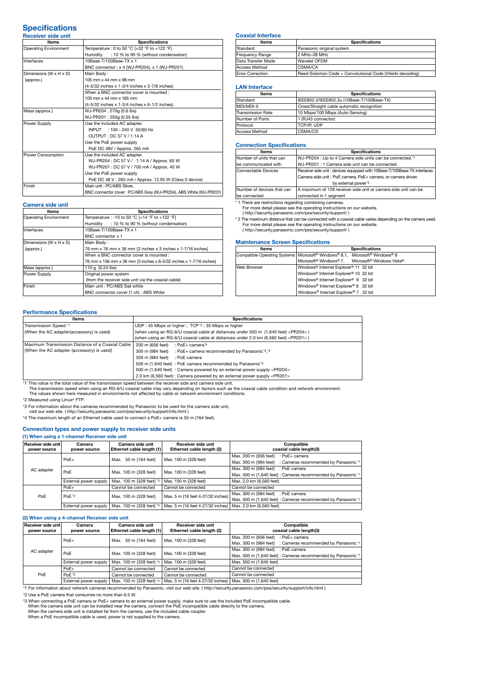#### **Specifications** Receiver side unit

| ltems                        | <b>Specifications</b>                                             |  |  |
|------------------------------|-------------------------------------------------------------------|--|--|
| <b>Operating Environment</b> | Temperature : 0 to 50 °C {+32 °F to +122 °F}                      |  |  |
|                              | Humidity<br>: 10 % to 90 % (without condensation)                 |  |  |
| Interfaces                   | 10Base-T/100Base-TX x 1                                           |  |  |
|                              | BNC connector: x 4 (WJ-PR204), x 1 (WJ-PR201)                     |  |  |
| Dimensions (W x H x D)       | Main Body:                                                        |  |  |
| (approx.)                    | 105 mm x 44 mm x 98 mm                                            |  |  |
|                              | {4-5/32 inches x 1-3/4 inches x 3-7/8 inches}                     |  |  |
|                              | When a BNC connector cover is mounted:                            |  |  |
|                              | 105 mm x 44 mm x 165 mm                                           |  |  |
|                              | {4-5/32 inches x 1-3/4 inches x 6-1/2 inches}                     |  |  |
| Mass (approx.)               | WJ-PR204: 270g (0.6 lbs)                                          |  |  |
|                              | WJ-PR201: 250g (0.55 lbs)                                         |  |  |
| Power Supply                 | Use the included AC adapter.                                      |  |  |
|                              | INPUT : 100 - 240 V 50/60 Hz                                      |  |  |
|                              | OUTPUT: DC 57 V / 1.14 A                                          |  |  |
|                              | Use the PoE power supply                                          |  |  |
|                              | PoE DC 48V / Approx. 265 mA                                       |  |  |
| <b>Power Consumption</b>     | Use the included AC adapter.                                      |  |  |
|                              | WJ-PR204: DC 57 V / 1.14 A / Approx. 65 W                         |  |  |
|                              | WJ-PR201: DC 57 V / 700 mA / Approx. 40 W                         |  |  |
|                              | Use the PoE power supply                                          |  |  |
|                              | PoE DC 48 V: 265 mA / Approx. 12.95 W (Class 0 device)            |  |  |
| Finish                       | Main unit : PC/ABS Silver.                                        |  |  |
|                              | BNC connector cover: PC/ABS Grey (WJ-PR204), ABS White (WJ-PR201) |  |  |

## Camera side unit

| Items                  | <b>Specifications</b>                                             |  |  |  |
|------------------------|-------------------------------------------------------------------|--|--|--|
| Operating Environment  | Temperature : -10 to 50 °C {+14 °F to +122 °F}                    |  |  |  |
|                        | : 10 % to 90 % (without condensation)<br>Humidity                 |  |  |  |
| Interfaces             | 10Base-T/100Base-TX x 1                                           |  |  |  |
|                        | BNC connector x 1                                                 |  |  |  |
| Dimensions (W x H x D) | Main Body:                                                        |  |  |  |
| (approx.)              | 76 mm x 76 mm x 36 mm {3 inches x 3 inches x 1-7/16 inches}       |  |  |  |
|                        | When a BNC connector cover is mounted:                            |  |  |  |
|                        | 76 mm x 156 mm x 36 mm {3 inches x 6-5/32 inches x 1-7/16 inches} |  |  |  |
| Mass (approx.)         | 110 g (0.24 lbs)                                                  |  |  |  |
| Power Supply           | Original power system                                             |  |  |  |
|                        | (from the receiver side unit via the coaxial cable)               |  |  |  |
| Finish                 | Main unit: PC/ABS Sail white                                      |  |  |  |
|                        | BNC connector cover (1 ch) : ABS White                            |  |  |  |

#### Coaxial Interface

| Items                   | <b>Specifications</b>                                     |  |  |
|-------------------------|-----------------------------------------------------------|--|--|
| Standard                | Panasonic original system                                 |  |  |
| Frequency Range         | 2 MHz-28 MHz                                              |  |  |
| Data Transfer Mode      | Wavelet OFDM                                              |  |  |
| Access Method           | CSMA/CA                                                   |  |  |
| <b>Error Correction</b> | Reed-Solomon Code + Convolutional Code (Viterbi decoding) |  |  |

#### LAN Interface

| <b>Items</b>      | <b>Specifications</b>                      |  |  |  |
|-------------------|--------------------------------------------|--|--|--|
| Standard          | IEEE802.3/IEEE802.3u (10Base-T/100Base-TX) |  |  |  |
| MDI/MDI-X         | Cross/Straight cable automatic recognition |  |  |  |
| Transmission Rate | 10 Mbps/100 Mbps (Auto-Sensing)            |  |  |  |
| Number of Ports   | 1 (RJ45 connector)                         |  |  |  |
| Protocol          | TCP/IP, UDP                                |  |  |  |
| Access Method     | CSMA/CD                                    |  |  |  |

#### Connection Specifications

| <b>Specifications</b>                                                    |  |  |  |
|--------------------------------------------------------------------------|--|--|--|
| WJ-PR204 : Up to 4 Camera side units can be connected.*1                 |  |  |  |
| WJ-PR201: 1 Camera side unit can be connected.                           |  |  |  |
| Receiver side unit: devices equipped with 10Base-T/100Base-TX interfaces |  |  |  |
| Camera side unit : PoE camera, PoE+ camera, or camera driven             |  |  |  |
| by external power"2                                                      |  |  |  |
| A maximum of 128 receiver side unit or camera side unit can be           |  |  |  |
| connected in 1 segment                                                   |  |  |  |
|                                                                          |  |  |  |

\* 1 There are restrictions regarding combining cameras.

For more detail please see the operating instructions on our website. ( http://security.panasonic.com/pss/security/support/ )

\* 2 The maximum distance that can be connected with a coaxial cable varies depending on the camera used. For more detail please see the operating instructions on our website.

( http://security.panasonic.com/pss/security/support/ )

#### Maintenance Screen Specifications

| <b>Items</b> | <b>Specifications</b>                                                                            |
|--------------|--------------------------------------------------------------------------------------------------|
|              | Compatible Operating Systems   Microsoft® Windows® 8.1, Microsoft® Windows® 8                    |
|              | Microsoft <sup>®</sup> Windows <sup>®</sup> 7, Microsoft <sup>®</sup> Windows Vista <sup>®</sup> |
| Web Browser  | Windows <sup>®</sup> Internet Explorer <sup>®</sup> 11 32 bit                                    |
|              | Windows <sup>®</sup> Internet Explorer <sup>®</sup> 10 32 bit                                    |
|              | Windows® Internet Explorer® 9 32 bit                                                             |
|              | Windows® Internet Explorer® 8 32 bit                                                             |
|              | Windows® Internet Explorer® 7 32 bit                                                             |

## Performance Specifications

| Items                                            | <b>Specifications</b>                                                                       |  |  |
|--------------------------------------------------|---------------------------------------------------------------------------------------------|--|--|
| Transmission Speed *1                            | UDP: 45 Mbps or higher; TCP $2:35$ Mbps or higher                                           |  |  |
| (When the AC adapter(accessory) is used)         | (when using an RG-6/U coaxial cable at distances under 500 m (1,640 feet) <pr204>)</pr204>  |  |  |
|                                                  | (when using an RG-6/U coaxial cable at distances under 2.0 km (6,560 feet) <pr201>)</pr201> |  |  |
| Maximum Transmission Distance of a Coaxial Cable | 200 m (656 feet)<br>: PoE+ camera*4                                                         |  |  |
| {When the AC adapter (accessory) is used}        | 300 m (984 feet) : PoE+ camera recommended by Panasonic <sup>13</sup> , <sup>14</sup>       |  |  |
|                                                  | 300 m (984 feet) : PoE camera                                                               |  |  |
|                                                  | 500 m (1,640 feet) : PoE camera recommended by Panasonic <sup>3</sup>                       |  |  |
|                                                  | 500 m (1,640 feet) : Camera powered by an external power supply <pr204></pr204>             |  |  |
|                                                  | 2.0 km (6,560 feet) : Camera powered by an external power supply <pr201></pr201>            |  |  |

\*1 This value is the total value of the transmission speed between the receiver side and camera side unit. The transmission speed when using an RG-6/U coaxial cable may very depending on factors such as the coaxial cable condition and network environment.

The values shown here measured in environments not affected by cable or network environment conditions

\*2 Measured using Linux® FTP.

\*3 For information about the cameras recommended by Panasonic to be used for the camera side unit,

visit our web site. ( http://security.panasonic.com/pss/security/support/info.html )

\*4 The maximum length of an Ethernet cable used to connect a PoE+ camera is 50 m (164 feet).

## Connection types and power supply to receiver side units

## (1) When using a 1-channel Receiver side unit

| Receiver side unit<br>power source | Camera<br>power source | Camera side unit<br>Ethernet cable length (1) | Receiver side unit<br>Ethernet cable length (2)              | Compatible<br>coaxial cable length(3)                          |
|------------------------------------|------------------------|-----------------------------------------------|--------------------------------------------------------------|----------------------------------------------------------------|
| AC adapter                         | $PoE+$                 | Max. 50 m {164 feet}                          | Max. 100 m {328 feet}                                        | Max. 200 m {656 feet}<br>: PoE+ camera                         |
|                                    |                        |                                               |                                                              | Max, 300 m {984 feet}<br>: Cameras recommended by Panasonic *1 |
|                                    | PoE                    | Max. 100 m {328 feet}                         | Max. 100 m {328 feet}                                        | Max. 300 m {984 feet} : PoE camera                             |
|                                    |                        |                                               |                                                              | Max. 500 m {1,640 feet} : Cameras recommended by Panasonic *1  |
|                                    | External power supply  | Max. 100 m {328 feet} '3                      | Max. 100 m {328 feet}                                        | Max. 2.0 km {6,560 feet}                                       |
|                                    | $PoE+$                 | Cannot be connected                           | Cannot be connected                                          | Cannot be connected                                            |
| PoE                                | PoE <sup>*2</sup>      | Max. 100 m {328 feet}                         | Max. 5 m {16 feet 4-27/32 inches}                            | Max. 300 m {984 feet}<br>: PoE camera                          |
|                                    |                        |                                               |                                                              | Max. 500 m {1,640 feet} : Cameras recommended by Panasonic *1  |
|                                    | External power supply  | Max, 100 m {328 feet} '3                      | Max. 5 m {16 feet 4-27/32 inches}   Max. 2.0 km {6,560 feet} |                                                                |

#### (2) When using a 4-channel Receiver side unit

| $\mu$ , which against a channol hoogered onas annu |                        |                                                                                                     |                                                 |                                                                |
|----------------------------------------------------|------------------------|-----------------------------------------------------------------------------------------------------|-------------------------------------------------|----------------------------------------------------------------|
| Receiver side unit<br>power source                 | Camera<br>power source | Camera side unit<br>Ethernet cable length (1)                                                       | Receiver side unit<br>Ethernet cable length (2) | Compatible<br>coaxial cable length(3)                          |
| AC adapter                                         | $PoE+$                 | Max. 50 m {164 feet}                                                                                | Max. 100 m {328 feet}                           | Max, 200 m {656 feet}<br>: PoE+ camera                         |
|                                                    |                        |                                                                                                     |                                                 | : Cameras recommended by Panasonic *1<br>Max, 300 m {984 feet} |
|                                                    | PoE                    | Max. 100 m {328 feet}<br>Max. 100 m {328 feet}<br>Max. 100 m {328 feet} '3<br>Max. 100 m {328 feet} |                                                 | Max. 300 m {984 feet} : PoE camera                             |
|                                                    |                        |                                                                                                     |                                                 | Max. 500 m {1,640 feet} : Cameras recommended by Panasonic *1  |
|                                                    | External power supply  |                                                                                                     |                                                 | Max. 500 m {1,640 feet}                                        |
| PoE                                                | $PoE+$                 | Cannot be connected                                                                                 | Cannot be connected                             | Cannot be connected                                            |
|                                                    | PoE <sup>*2</sup>      | Cannot be connected                                                                                 | Cannot be connected                             | Cannot be connected                                            |
|                                                    | External power supply  | Max. 100 m {328 feet} '3                                                                            | Max. 5 m {16 feet 4-27/32 inches}               | Max. 500 m {1,640 feet}                                        |

1 External power supply | Max. 100 m (326 feet) \* | Max. 300 to the station about network cameras recommended by Panasonic, visit our web site. ( http://security.panasonic.com/pss/security/support/info.html )

\*2 Use a PoE camera that consumes no more than 6.5 W.

\*3 When connecting a PoE camera or PoE+ camera to an external power supply, make sure to use the included PoE incompatible cable.<br>When the camera side unit can be installed near the camera, connect the PoE incompatible cab

When a PoE incompatible cable is used, power is not supplied to the camera.